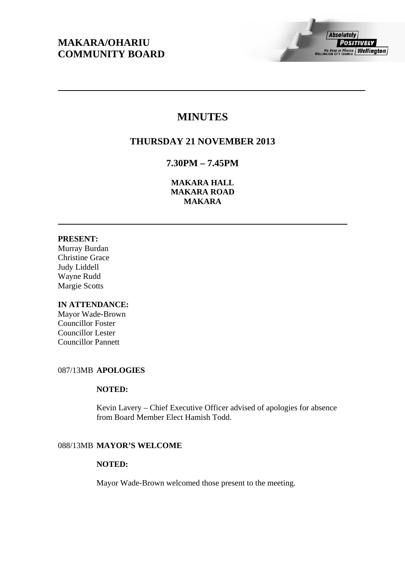## **MAKARA/OHARIU COMMUNITY BOARD**

# **MINUTES**

## **THURSDAY 21 NOVEMBER 2013**

## **7.30PM – 7.45PM**

**MAKARA HALL MAKARA ROAD MAKARA** 

## **PRESENT:**

Murray Burdan Christine Grace Judy Liddell Wayne Rudd Margie Scotts

## **IN ATTENDANCE:**

Mayor Wade-Brown Councillor Foster Councillor Lester Councillor Pannett

## 087/13MB **APOLOGIES**

## **NOTED:**

Kevin Lavery – Chief Executive Officer advised of apologies for absence from Board Member Elect Hamish Todd.

## 088/13MB **MAYOR'S WELCOME**

#### **NOTED:**

Mayor Wade-Brown welcomed those present to the meeting.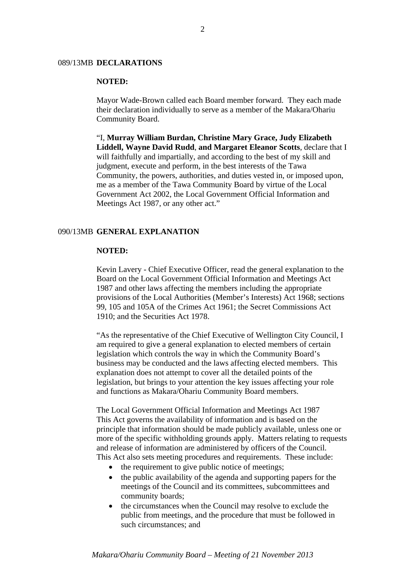#### 089/13MB **DECLARATIONS**

## **NOTED:**

Mayor Wade-Brown called each Board member forward. They each made their declaration individually to serve as a member of the Makara/Ohariu Community Board.

"I, **Murray William Burdan, Christine Mary Grace, Judy Elizabeth Liddell, Wayne David Rudd**, **and Margaret Eleanor Scotts**, declare that I will faithfully and impartially, and according to the best of my skill and judgment, execute and perform, in the best interests of the Tawa Community, the powers, authorities, and duties vested in, or imposed upon, me as a member of the Tawa Community Board by virtue of the Local Government Act 2002, the Local Government Official Information and Meetings Act 1987, or any other act."

#### 090/13MB **GENERAL EXPLANATION**

#### **NOTED:**

Kevin Lavery - Chief Executive Officer, read the general explanation to the Board on the Local Government Official Information and Meetings Act 1987 and other laws affecting the members including the appropriate provisions of the Local Authorities (Member's Interests) Act 1968; sections 99, 105 and 105A of the Crimes Act 1961; the Secret Commissions Act 1910; and the Securities Act 1978.

"As the representative of the Chief Executive of Wellington City Council, I am required to give a general explanation to elected members of certain legislation which controls the way in which the Community Board's business may be conducted and the laws affecting elected members. This explanation does not attempt to cover all the detailed points of the legislation, but brings to your attention the key issues affecting your role and functions as Makara/Ohariu Community Board members.

The Local Government Official Information and Meetings Act 1987 This Act governs the availability of information and is based on the principle that information should be made publicly available, unless one or more of the specific withholding grounds apply. Matters relating to requests and release of information are administered by officers of the Council. This Act also sets meeting procedures and requirements. These include:

- $\bullet$  the requirement to give public notice of meetings;
- the public availability of the agenda and supporting papers for the meetings of the Council and its committees, subcommittees and community boards;
- the circumstances when the Council may resolve to exclude the public from meetings, and the procedure that must be followed in such circumstances; and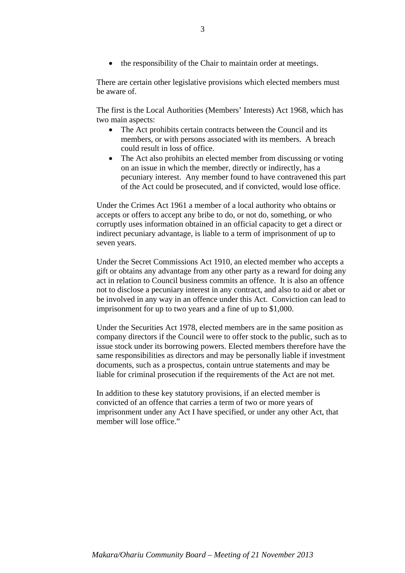• the responsibility of the Chair to maintain order at meetings.

There are certain other legislative provisions which elected members must be aware of.

The first is the Local Authorities (Members' Interests) Act 1968, which has two main aspects:

- The Act prohibits certain contracts between the Council and its members, or with persons associated with its members. A breach could result in loss of office.
- The Act also prohibits an elected member from discussing or voting on an issue in which the member, directly or indirectly, has a pecuniary interest. Any member found to have contravened this part of the Act could be prosecuted, and if convicted, would lose office.

Under the Crimes Act 1961 a member of a local authority who obtains or accepts or offers to accept any bribe to do, or not do, something, or who corruptly uses information obtained in an official capacity to get a direct or indirect pecuniary advantage, is liable to a term of imprisonment of up to seven years.

Under the Secret Commissions Act 1910, an elected member who accepts a gift or obtains any advantage from any other party as a reward for doing any act in relation to Council business commits an offence. It is also an offence not to disclose a pecuniary interest in any contract, and also to aid or abet or be involved in any way in an offence under this Act. Conviction can lead to imprisonment for up to two years and a fine of up to \$1,000.

Under the Securities Act 1978, elected members are in the same position as company directors if the Council were to offer stock to the public, such as to issue stock under its borrowing powers. Elected members therefore have the same responsibilities as directors and may be personally liable if investment documents, such as a prospectus, contain untrue statements and may be liable for criminal prosecution if the requirements of the Act are not met.

In addition to these key statutory provisions, if an elected member is convicted of an offence that carries a term of two or more years of imprisonment under any Act I have specified, or under any other Act, that member will lose office."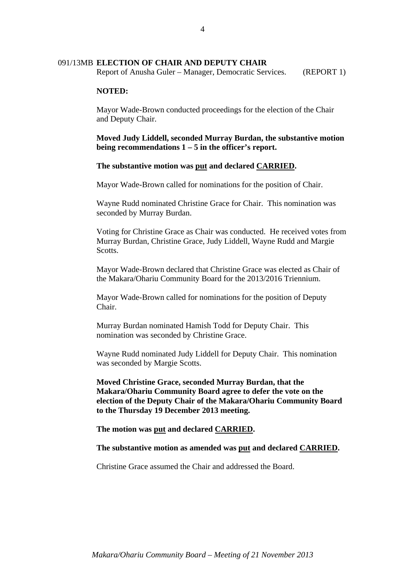#### 091/13MB **ELECTION OF CHAIR AND DEPUTY CHAIR**

Report of Anusha Guler – Manager, Democratic Services. (REPORT 1)

#### **NOTED:**

Mayor Wade-Brown conducted proceedings for the election of the Chair and Deputy Chair.

## **Moved Judy Liddell, seconded Murray Burdan, the substantive motion being recommendations 1 – 5 in the officer's report.**

#### **The substantive motion was put and declared CARRIED.**

Mayor Wade-Brown called for nominations for the position of Chair.

Wayne Rudd nominated Christine Grace for Chair. This nomination was seconded by Murray Burdan.

Voting for Christine Grace as Chair was conducted. He received votes from Murray Burdan, Christine Grace, Judy Liddell, Wayne Rudd and Margie **Scotts**.

Mayor Wade-Brown declared that Christine Grace was elected as Chair of the Makara/Ohariu Community Board for the 2013/2016 Triennium.

Mayor Wade-Brown called for nominations for the position of Deputy Chair.

Murray Burdan nominated Hamish Todd for Deputy Chair. This nomination was seconded by Christine Grace.

Wayne Rudd nominated Judy Liddell for Deputy Chair. This nomination was seconded by Margie Scotts.

**Moved Christine Grace, seconded Murray Burdan, that the Makara/Ohariu Community Board agree to defer the vote on the election of the Deputy Chair of the Makara/Ohariu Community Board to the Thursday 19 December 2013 meeting.** 

**The motion was put and declared CARRIED.** 

#### **The substantive motion as amended was put and declared CARRIED.**

Christine Grace assumed the Chair and addressed the Board.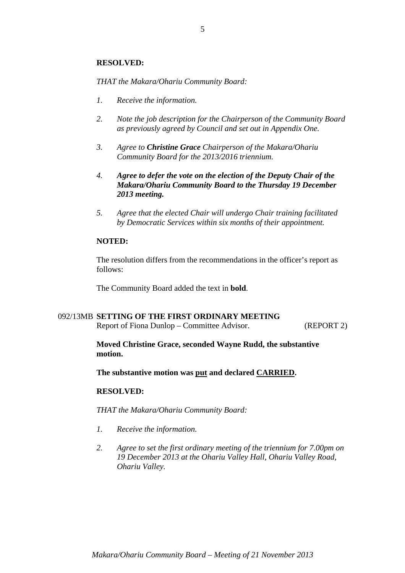#### **RESOLVED:**

*THAT the Makara/Ohariu Community Board:* 

- *1. Receive the information.*
- *2. Note the job description for the Chairperson of the Community Board as previously agreed by Council and set out in Appendix One.*
- *3. Agree to Christine Grace Chairperson of the Makara/Ohariu Community Board for the 2013/2016 triennium.*
- *4. Agree to defer the vote on the election of the Deputy Chair of the Makara/Ohariu Community Board to the Thursday 19 December 2013 meeting.*
- *5. Agree that the elected Chair will undergo Chair training facilitated by Democratic Services within six months of their appointment.*

#### **NOTED:**

The resolution differs from the recommendations in the officer's report as follows:

The Community Board added the text in **bold**.

## 092/13MB **SETTING OF THE FIRST ORDINARY MEETING**

Report of Fiona Dunlop – Committee Advisor. (REPORT 2)

## **Moved Christine Grace, seconded Wayne Rudd, the substantive motion.**

**The substantive motion was put and declared CARRIED.** 

#### **RESOLVED:**

*THAT the Makara/Ohariu Community Board:* 

- *1. Receive the information.*
- *2. Agree to set the first ordinary meeting of the triennium for 7.00pm on 19 December 2013 at the Ohariu Valley Hall, Ohariu Valley Road, Ohariu Valley.*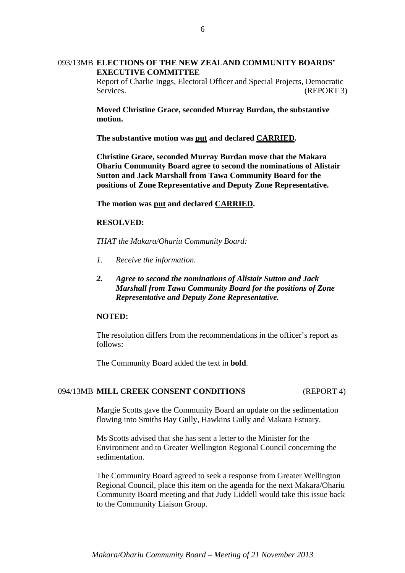## 093/13MB **ELECTIONS OF THE NEW ZEALAND COMMUNITY BOARDS' EXECUTIVE COMMITTEE**

Report of Charlie Inggs, Electoral Officer and Special Projects, Democratic Services. (REPORT 3)

**Moved Christine Grace, seconded Murray Burdan, the substantive motion.** 

**The substantive motion was put and declared CARRIED.** 

**Christine Grace, seconded Murray Burdan move that the Makara Ohariu Community Board agree to second the nominations of Alistair Sutton and Jack Marshall from Tawa Community Board for the positions of Zone Representative and Deputy Zone Representative.** 

**The motion was put and declared CARRIED.** 

#### **RESOLVED:**

*THAT the Makara/Ohariu Community Board:* 

- *1. Receive the information.*
- *2. Agree to second the nominations of Alistair Sutton and Jack Marshall from Tawa Community Board for the positions of Zone Representative and Deputy Zone Representative.*

## **NOTED:**

The resolution differs from the recommendations in the officer's report as follows:

The Community Board added the text in **bold**.

#### 094/13MB **MILL CREEK CONSENT CONDITIONS** (REPORT 4)

Margie Scotts gave the Community Board an update on the sedimentation flowing into Smiths Bay Gully, Hawkins Gully and Makara Estuary.

Ms Scotts advised that she has sent a letter to the Minister for the Environment and to Greater Wellington Regional Council concerning the sedimentation.

The Community Board agreed to seek a response from Greater Wellington Regional Council, place this item on the agenda for the next Makara/Ohariu Community Board meeting and that Judy Liddell would take this issue back to the Community Liaison Group.